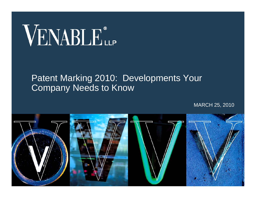# VENABLE®

#### Patent Marking 2010: Developments Your Company Needs to Know

MARCH 25, 2010

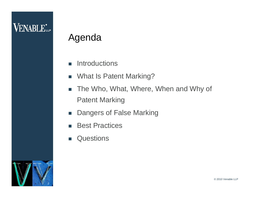#### Agenda

- $\overline{\phantom{a}}$ **Introductions**
- $\mathcal{L}_{\mathcal{A}}$ What Is Patent Marking?
- $\mathbb{R}^3$  The Who, What, Where, When and Why of Patent Marking
- $\mathcal{L}_{\mathcal{A}}$ Dangers of False Marking
- $\sim$ Best Practices
- $\mathcal{L}_{\mathcal{A}}$ **Questions**

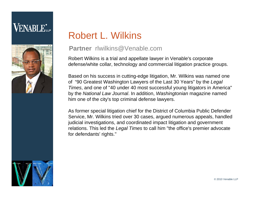

## Robert L. Wilkins

#### **Partner** rlwilkins@Venable.com

Robert Wilkins is a trial and appellate lawyer in Venable's corporate defense/white collar, technology and commercial litigation practice groups.

Based on his success in cutting-edge litigation, Mr. Wilkins was named one of "90 Greatest Washington Lawyers of the Last 30 Years" by the *Legal Times*, and one of "40 under 40 most successful young litigators in America" by the *National Law Journal*. In addition, *Washingtonian* magazine named him one of the city's top criminal defense lawyers.

As former special litigation chief for the District of Columbia Public Defender Service, Mr. Wilkins tried over 30 cases, argued numerous appeals, handled judicial investigations, and coordinated impact litigation and government relations. This led the *Legal Times* to call him "the office's premier advocate for defendants' rights."

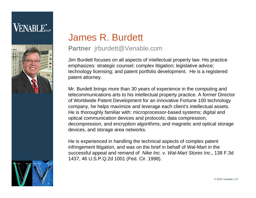#### **VENABLE**\*





#### **Partner** jrburdett@Venable.com

Jim Burdett focuses on all aspects of intellectual property law. His practice emphasizes: strategic counsel; complex litigation; legislative advice; technology licensing; and patent portfolio development. He is a registered patent attorney.

Mr. Burdett brings more than 30 years of experience in the computing and telecommunications arts to his intellectual property practice. A former Director of Worldwide Patent Development for an innovative Fortune 100 technology company, he helps maximize and leverage each client's intellectual assets. He is thoroughly familiar with: microprocessor-based systems; digital and optical communication devices and protocols; data compression, decompression, and encryption algorithms; and magnetic and optical storage devices, and storage area networks.

He is experienced in handling the technical aspects of complex patent infringement litigation, and was on the brief in behalf of Wal-Mart in the successful appeal and remand of *Nike Inc. v. Wal-Mart Stores Inc.,* 138 F.3d 1437, 46 U.S.P.Q.2d 1001 (Fed. Cir. 1998).

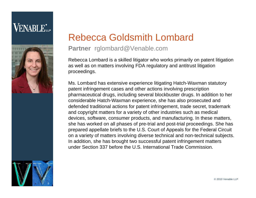

#### Rebecca Goldsmith Lombard

#### **Partner** rglombard@Venable.com

Rebecca Lombard is a skilled litigator who works primarily on patent litigation as well as on matters involving FDA regulatory and antitrust litigation proceedings.

Ms. Lombard has extensive experience litigating Hatch-Waxman statutory patent infringement cases and other actions involving prescription pharmaceutical drugs, including several blockbuster drugs. In addition to her considerable Hatch-Waxman experience, she has also prosecuted and defended traditional actions for patent infringement, trade secret, trademark and copyright matters for a variety of other industries such as medical devices, software, consumer products, and manufacturing. In these matters, she has worked on all phases of pre-trial and post-trial proceedings. She has prepared appellate briefs to the U.S. Court of Appeals for the Federal Circuit on a variety of matters involving diverse technical and non-technical subjects. In addition, she has brought two successful patent infringement matters under Section 337 before the U.S. International Trade Commission.

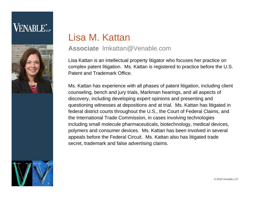## **VENABLE**\*



#### Lisa M. Kattan

#### **Associate** lmkattan@Venable.com

Lisa Kattan is an intellectual property litigator who focuses her practice on complex patent litigation. Ms. Kattan is registered to practice before the U.S. Patent and Trademark Office.

Ms. Kattan has experience with all phases of patent litigation, including client counseling, bench and jury trials, Markman hearings, and all aspects of discovery, including developing expert opinions and presenting and questioning witnesses at depositions and at trial. Ms. Kattan has litigated in federal district courts throughout the U.S., the Court of Federal Claims, and the International Trade Commission, in cases involving technologies including small molecule pharmaceuticals, biotechnology, medical devices, polymers and consumer devices. Ms. Kattan has been involved in several appeals before the Federal Circuit. Ms. Kattan also has litigated trade secret, trademark and false advertising claims.

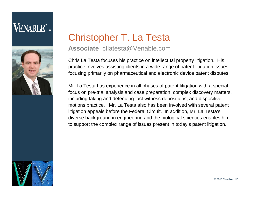

#### Christopher T. La Testa

#### **Associate** ctlatesta@Venable.com

Chris La Testa focuses his practice on intellectual property litigation. His practice involves assisting clients in a wide range of patent litigation issues, focusing primarily on pharmaceutical and electronic device patent disputes.

Mr. La Testa has experience in all phases of patent litigation with a special focus on pre-trial analysis and case preparation, complex discovery matters, including taking and defending fact witness depositions, and dispositive motions practice. Mr. La Testa also has been involved with several patent litigation appeals before the Federal Circuit. In addition, Mr. La Testa's diverse background in engineering and the biological sciences enables him to support the complex range of issues present in today's patent litigation.

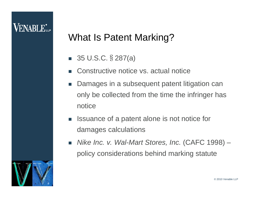#### What Is Patent Marking?

- 35 U.S.C. § 287(a)
- F Constructive notice vs. actual notice
- $\mathcal{L}^{\mathcal{L}}$  Damages in a subsequent patent litigation can only be collected from the time the infringer has notice
- $\overline{\phantom{a}}$  Issuance of a patent alone is not notice for damages calculations
- $\mathcal{L}^{\mathcal{L}}$  *Nike Inc. v. Wal-Mart Stores, Inc.* (CAFC 1998) – policy considerations behind marking statute

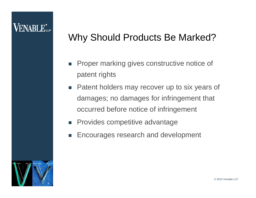#### Why Should Products Be Marked?

- $\overline{\mathbb{R}^n}$  Proper marking gives constructive notice of patent rights
- $\mathcal{L}^{\text{max}}$  Patent holders may recover up to six years of damages; no damages for infringement that occurred before notice of infringement
- **Provides competitive advantage**
- F Encourages research and development

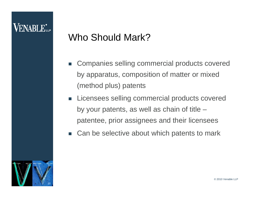#### **VENABLE**L

## Who Should Mark?

- $\mathcal{L}_{\mathcal{A}}$  Companies selling commercial products covered by apparatus, composition of matter or mixed (method plus) patents
- $\blacksquare$  Licensees selling commercial products covered by your patents, as well as chain of title – patentee, prior assignees and their licensees
- $\mathcal{L}^{\text{max}}$ Can be selective about which patents to mark

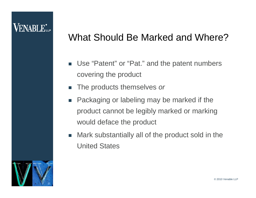#### What Should Be Marked and Where?

- $\mathcal{L}_{\mathrm{eff}}$  Use "Patent" or "Pat." and the patent numbers covering the product
- $\mathcal{L}_{\mathcal{A}}$ The products themselves *or*
- $\mathcal{L}_{\mathcal{A}}$  Packaging or labeling may be marked if the product cannot be legibly marked or marking would deface the product
- $\mathcal{L}^{\mathcal{A}}$  Mark substantially all of the product sold in the United States

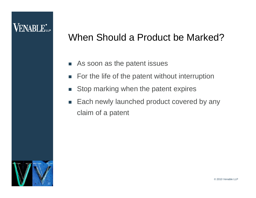#### When Should a Product be Marked?

- П As soon as the patent issues
- T. For the life of the patent without interruption
- $\mathcal{L}_{\mathcal{A}}$ Stop marking when the patent expires
- $\mathcal{L}_{\mathcal{A}}$  Each newly launched product covered by any claim of a patent

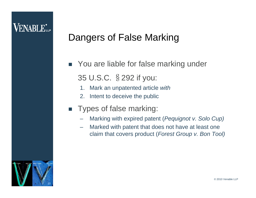## Dangers of False Marking

■ You are liable for false marking under 35 U.S.C. §292 if you:

- 1. Mark an unpatented article *with*
- 2. Intent to deceive the public
- $\sim 100$  Types of false marking:
	- Marking with expired patent (*Pequignot v. Solo Cup)*
	- – Marked with patent that does not have at least one claim that covers product (*Forest Group v. Bon Tool)*

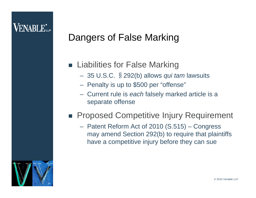## Dangers of False Marking

#### **Example 1** Liabilities for False Marking

- 35 U.S.C. §292(b) allows *qui tam* lawsuits
- Penalty is up to \$500 per "offense"
- Current rule is *each* falsely marked article is a separate offense

#### **Proposed Competitive Injury Requirement**

 Patent Reform Act of 2010 (S.515) – Congress may amend Section 292(b) to require that plaintiffs have a competitive injury before they can sue

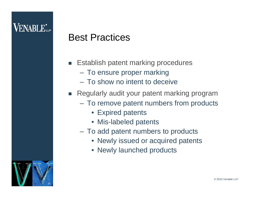#### Best Practices

- $\mathcal{L}_{\mathcal{A}}$  Establish patent marking procedures
	- To ensure proper marking
	- To show no intent to deceive
- Regularly audit your patent marking program
	- To remove patent numbers from products
		- Expired patents
		- Mis-labeled patents
	- To add patent numbers to products
		- Newly issued or acquired patents
		- Newly launched products

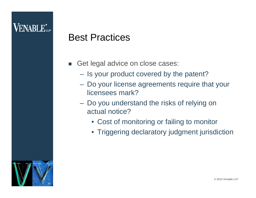#### Best Practices

- $\mathcal{L}_{\mathcal{A}}$  Get legal advice on close cases:
	- Is your product covered by the patent?
	- Do your license agreements require that your licensees mark?
	- Do you understand the risks of relying on actual notice?
		- Cost of monitoring or failing to monitor
		- Triggering declaratory judgment jurisdiction

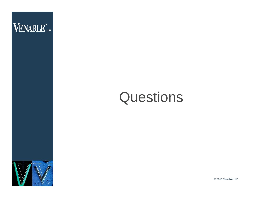

## **Questions**



© 2010 Venable LLP